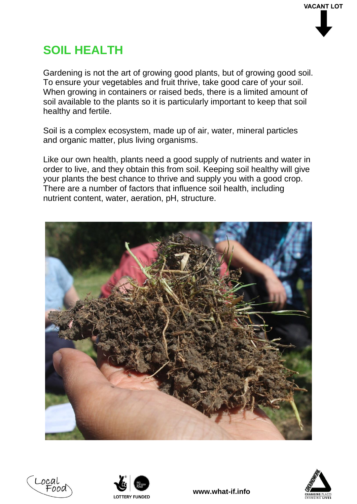# **SOIL HEALTH**

Gardening is not the art of growing good plants, but of growing good soil. To ensure your vegetables and fruit thrive, take good care of your soil. When growing in containers or raised beds, there is a limited amount of soil available to the plants so it is particularly important to keep that soil healthy and fertile.

Soil is a complex ecosystem, made up of air, water, mineral particles and organic matter, plus living organisms.

Like our own health, plants need a good supply of nutrients and water in order to live, and they obtain this from soil. Keeping soil healthy will give your plants the best chance to thrive and supply you with a good crop. There are a number of factors that influence soil health, including nutrient content, water, aeration, pH, structure.







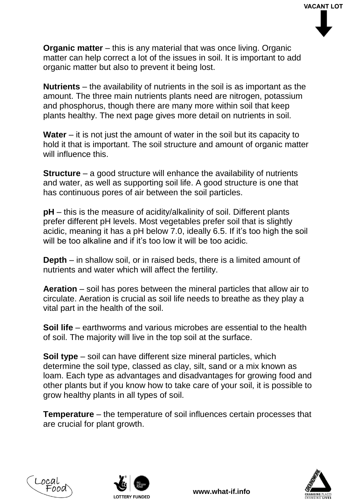**Organic matter** – this is any material that was once living. Organic matter can help correct a lot of the issues in soil. It is important to add organic matter but also to prevent it being lost.

**Nutrients** – the availability of nutrients in the soil is as important as the amount. The three main nutrients plants need are nitrogen, potassium and phosphorus, though there are many more within soil that keep plants healthy. The next page gives more detail on nutrients in soil.

**Water** – it is not just the amount of water in the soil but its capacity to hold it that is important. The soil structure and amount of organic matter will influence this.

**Structure** – a good structure will enhance the availability of nutrients and water, as well as supporting soil life. A good structure is one that has continuous pores of air between the soil particles.

**pH** – this is the measure of acidity/alkalinity of soil. Different plants prefer different pH levels. Most vegetables prefer soil that is slightly acidic, meaning it has a pH below 7.0, ideally 6.5. If it's too high the soil will be too alkaline and if it's too low it will be too acidic.

**Depth** – in shallow soil, or in raised beds, there is a limited amount of nutrients and water which will affect the fertility.

**Aeration** – soil has pores between the mineral particles that allow air to circulate. Aeration is crucial as soil life needs to breathe as they play a vital part in the health of the soil.

**Soil life** – earthworms and various microbes are essential to the health of soil. The majority will live in the top soil at the surface.

**Soil type** – soil can have different size mineral particles, which determine the soil type, classed as clay, silt, sand or a mix known as loam. Each type as advantages and disadvantages for growing food and other plants but if you know how to take care of your soil, it is possible to grow healthy plants in all types of soil.

**Temperature** – the temperature of soil influences certain processes that are crucial for plant growth.





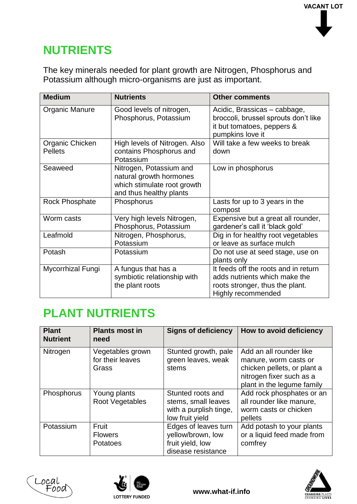### **NUTRIENTS**

The key minerals needed for plant growth are Nitrogen, Phosphorus and Potassium although micro-organisms are just as important.

| <b>Medium</b>                     | <b>Nutrients</b>                                                                                             | <b>Other comments</b>                                                                                                          |
|-----------------------------------|--------------------------------------------------------------------------------------------------------------|--------------------------------------------------------------------------------------------------------------------------------|
| Organic Manure                    | Good levels of nitrogen,<br>Phosphorus, Potassium                                                            | Acidic, Brassicas - cabbage,<br>broccoli, brussel sprouts don't like<br>it but tomatoes, peppers &<br>pumpkins love it         |
| Organic Chicken<br><b>Pellets</b> | High levels of Nitrogen. Also<br>contains Phosphorus and<br>Potassium                                        | Will take a few weeks to break<br>down                                                                                         |
| Seaweed                           | Nitrogen, Potassium and<br>natural growth hormones<br>which stimulate root growth<br>and thus healthy plants | Low in phosphorus                                                                                                              |
| <b>Rock Phosphate</b>             | Phosphorus                                                                                                   | Lasts for up to 3 years in the<br>compost                                                                                      |
| Worm casts                        | Very high levels Nitrogen,<br>Phosphorus, Potassium                                                          | Expensive but a great all rounder,<br>gardener's call it 'black gold'                                                          |
| Leafmold                          | Nitrogen, Phosphorus,<br>Potassium                                                                           | Dig in for healthy root vegetables<br>or leave as surface mulch                                                                |
| Potash                            | Potassium                                                                                                    | Do not use at seed stage, use on<br>plants only                                                                                |
| Mycorrhizal Fungi                 | A fungus that has a<br>symbiotic relationship with<br>the plant roots                                        | It feeds off the roots and in return<br>adds nutrients which make the<br>roots stronger, thus the plant.<br>Highly recommended |

### **PLANT NUTRIENTS**

| <b>Plant</b><br><b>Nutrient</b> | <b>Plants most in</b><br>need                 | <b>Signs of deficiency</b>                                                            | How to avoid deficiency                                                                                                                   |
|---------------------------------|-----------------------------------------------|---------------------------------------------------------------------------------------|-------------------------------------------------------------------------------------------------------------------------------------------|
| Nitrogen                        | Vegetables grown<br>for their leaves<br>Grass | Stunted growth, pale<br>green leaves, weak<br>stems                                   | Add an all rounder like<br>manure, worm casts or<br>chicken pellets, or plant a<br>nitrogen fixer such as a<br>plant in the legume family |
| Phosphorus                      | Young plants<br>Root Vegetables               | Stunted roots and<br>stems, small leaves<br>with a purplish tinge,<br>low fruit yield | Add rock phosphates or an<br>all rounder like manure,<br>worm casts or chicken<br>pellets                                                 |
| Potassium                       | Fruit<br><b>Flowers</b><br>Potatoes           | Edges of leaves turn<br>yellow/brown, low<br>fruit yield, low<br>disease resistance   | Add potash to your plants<br>or a liquid feed made from<br>comfrey                                                                        |





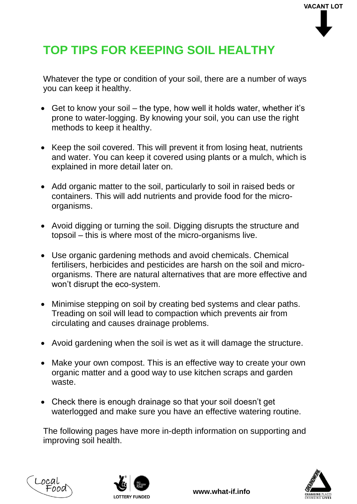# **TOP TIPS FOR KEEPING SOIL HEALTHY**

Whatever the type or condition of your soil, there are a number of ways you can keep it healthy.

- Get to know your soil the type, how well it holds water, whether it's prone to water-logging. By knowing your soil, you can use the right methods to keep it healthy.
- Keep the soil covered. This will prevent it from losing heat, nutrients and water. You can keep it covered using plants or a mulch, which is explained in more detail later on.
- Add organic matter to the soil, particularly to soil in raised beds or containers. This will add nutrients and provide food for the microorganisms.
- Avoid digging or turning the soil. Digging disrupts the structure and topsoil – this is where most of the micro-organisms live.
- Use organic gardening methods and avoid chemicals. Chemical fertilisers, herbicides and pesticides are harsh on the soil and microorganisms. There are natural alternatives that are more effective and won't disrupt the eco-system.
- Minimise stepping on soil by creating bed systems and clear paths. Treading on soil will lead to compaction which prevents air from circulating and causes drainage problems.
- Avoid gardening when the soil is wet as it will damage the structure.
- Make your own compost. This is an effective way to create your own organic matter and a good way to use kitchen scraps and garden waste.
- Check there is enough drainage so that your soil doesn't get waterlogged and make sure you have an effective watering routine.

The following pages have more in-depth information on supporting and improving soil health.





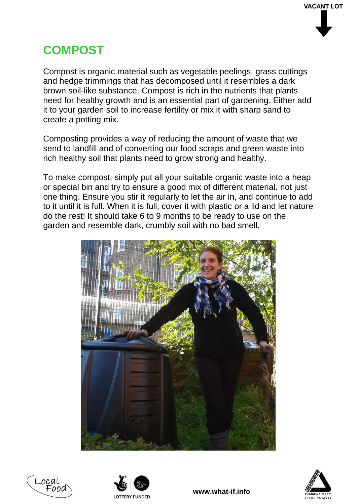## **COMPOST**

Compost is organic material such as vegetable peelings, grass cuttings and hedge trimmings that has decomposed until it resembles a dark brown soil-like substance. Compost is rich in the nutrients that plants need for healthy growth and is an essential part of gardening. Either add it to your garden soil to increase fertility or mix it with sharp sand to create a potting mix.

Composting provides a way of reducing the amount of waste that we send to landfill and of converting our food scraps and green waste into rich healthy soil that plants need to grow strong and healthy.

To make compost, simply put all your suitable organic waste into a heap or special bin and try to ensure a good mix of different material, not just one thing. Ensure you stir it regularly to let the air in, and continue to add to it until it is full. When it is full, cover it with plastic or a lid and let nature do the rest! It should take 6 to 9 months to be ready to use on the garden and resemble dark, crumbly soil with no bad smell.







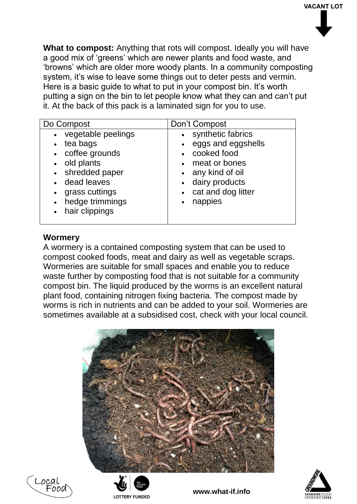**What to compost:** Anything that rots will compost. Ideally you will have a good mix of 'greens' which are newer plants and food waste, and 'browns' which are older more woody plants. In a community composting system, it's wise to leave some things out to deter pests and vermin. Here is a basic guide to what to put in your compost bin. It's worth putting a sign on the bin to let people know what they can and can't put it. At the back of this pack is a laminated sign for you to use.

| • synthetic fabrics<br>• vegetable peelings<br>eggs and eggshells<br>tea bags<br>$\bullet$<br>$\bullet$                                                                                                                                                                                      | Do Compost       | Don't Compost            |  |
|----------------------------------------------------------------------------------------------------------------------------------------------------------------------------------------------------------------------------------------------------------------------------------------------|------------------|--------------------------|--|
| • old plants<br>meat or bones<br>$\bullet$<br>• shredded paper<br>any kind of oil<br>$\bullet$<br>dairy products<br>• dead leaves<br>$\bullet$<br>cat and dog litter<br>grass cuttings<br>$\bullet$<br>$\bullet$<br>hedge trimmings<br>nappies<br>$\bullet$<br>$\bullet$<br>• hair clippings | • coffee grounds | cooked food<br>$\bullet$ |  |

#### **Wormery**

A wormery is a contained composting system that can be used to compost cooked foods, meat and dairy as well as vegetable scraps. Wormeries are suitable for small spaces and enable you to reduce waste further by composting food that is not suitable for a community compost bin. The liquid produced by the worms is an excellent natural plant food, containing nitrogen fixing bacteria. The compost made by worms is rich in nutrients and can be added to your soil. Wormeries are sometimes available at a subsidised cost, check with your local council.





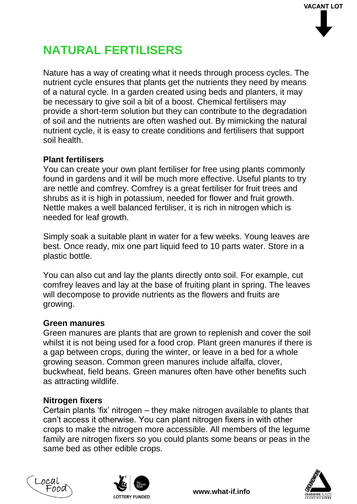# **NATURAL FERTILISERS**

Nature has a way of creating what it needs through process cycles. The nutrient cycle ensures that plants get the nutrients they need by means of a natural cycle. In a garden created using beds and planters, it may be necessary to give soil a bit of a boost. Chemical fertilisers may provide a short-term solution but they can contribute to the degradation of soil and the nutrients are often washed out. By mimicking the natural nutrient cycle, it is easy to create conditions and fertilisers that support soil health.

#### **Plant fertilisers**

You can create your own plant fertiliser for free using plants commonly found in gardens and it will be much more effective. Useful plants to try are nettle and comfrey. Comfrey is a great fertiliser for fruit trees and shrubs as it is high in potassium, needed for flower and fruit growth. Nettle makes a well balanced fertiliser, it is rich in nitrogen which is needed for leaf growth.

Simply soak a suitable plant in water for a few weeks. Young leaves are best. Once ready, mix one part liquid feed to 10 parts water. Store in a plastic bottle.

You can also cut and lay the plants directly onto soil. For example, cut comfrey leaves and lay at the base of fruiting plant in spring. The leaves will decompose to provide nutrients as the flowers and fruits are growing.

#### **Green manures**

Green manures are plants that are grown to replenish and cover the soil whilst it is not being used for a food crop. Plant green manures if there is a gap between crops, during the winter, or leave in a bed for a whole growing season. Common green manures include alfalfa, clover, buckwheat, field beans. Green manures often have other benefits such as attracting wildlife.

#### **Nitrogen fixers**

Certain plants 'fix' nitrogen – they make nitrogen available to plants that can't access it otherwise. You can plant nitrogen fixers in with other crops to make the nitrogen more accessible. All members of the legume family are nitrogen fixers so you could plants some beans or peas in the same bed as other edible crops.